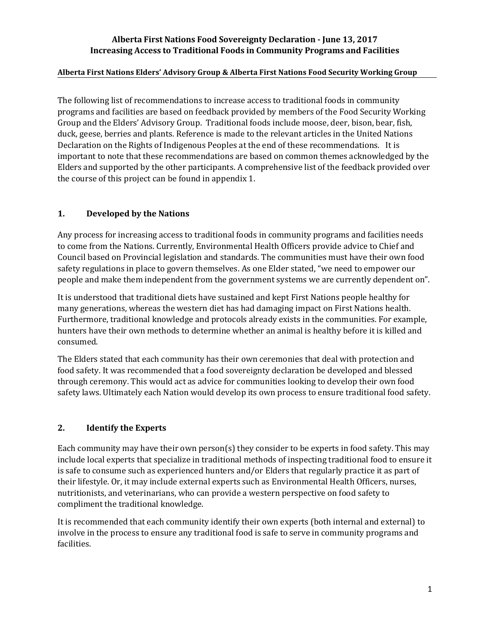### **Alberta First Nations Food Sovereignty Declaration - June 13, 2017 Increasing Access to Traditional Foods in Community Programs and Facilities**

### **Alberta First Nations Elders' Advisory Group & Alberta First Nations Food Security Working Group**

The following list of recommendations to increase access to traditional foods in community programs and facilities are based on feedback provided by members of the Food Security Working Group and the Elders' Advisory Group. Traditional foods include moose, deer, bison, bear, fish, duck, geese, berries and plants. Reference is made to the relevant articles in the United Nations Declaration on the Rights of Indigenous Peoples at the end of these recommendations. It is important to note that these recommendations are based on common themes acknowledged by the Elders and supported by the other participants. A comprehensive list of the feedback provided over the course of this project can be found in appendix 1.

## **1. Developed by the Nations**

Any process for increasing access to traditional foods in community programs and facilities needs to come from the Nations. Currently, Environmental Health Officers provide advice to Chief and Council based on Provincial legislation and standards. The communities must have their own food safety regulations in place to govern themselves. As one Elder stated, "we need to empower our people and make them independent from the government systems we are currently dependent on".

It is understood that traditional diets have sustained and kept First Nations people healthy for many generations, whereas the western diet has had damaging impact on First Nations health. Furthermore, traditional knowledge and protocols already exists in the communities. For example, hunters have their own methods to determine whether an animal is healthy before it is killed and consumed.

The Elders stated that each community has their own ceremonies that deal with protection and food safety. It was recommended that a food sovereignty declaration be developed and blessed through ceremony. This would act as advice for communities looking to develop their own food safety laws. Ultimately each Nation would develop its own process to ensure traditional food safety.

## **2. Identify the Experts**

Each community may have their own person(s) they consider to be experts in food safety. This may include local experts that specialize in traditional methods of inspecting traditional food to ensure it is safe to consume such as experienced hunters and/or Elders that regularly practice it as part of their lifestyle. Or, it may include external experts such as Environmental Health Officers, nurses, nutritionists, and veterinarians, who can provide a western perspective on food safety to compliment the traditional knowledge.

It is recommended that each community identify their own experts (both internal and external) to involve in the process to ensure any traditional food is safe to serve in community programs and facilities.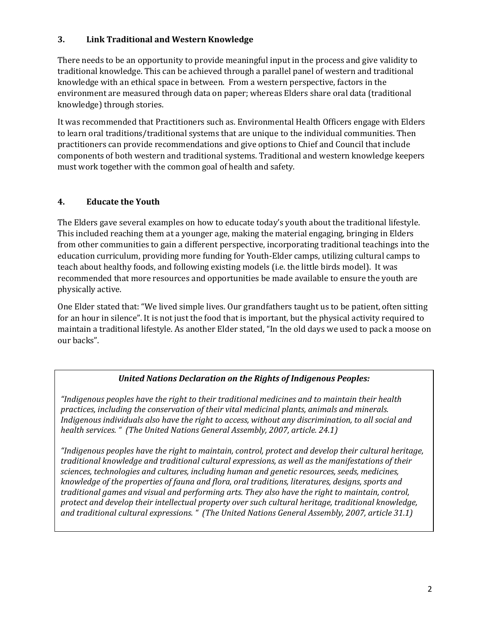## **3. Link Traditional and Western Knowledge**

There needs to be an opportunity to provide meaningful input in the process and give validity to traditional knowledge. This can be achieved through a parallel panel of western and traditional knowledge with an ethical space in between. From a western perspective, factors in the environment are measured through data on paper; whereas Elders share oral data (traditional knowledge) through stories.

It was recommended that Practitioners such as. Environmental Health Officers engage with Elders to learn oral traditions/traditional systems that are unique to the individual communities. Then practitioners can provide recommendations and give options to Chief and Council that include components of both western and traditional systems. Traditional and western knowledge keepers must work together with the common goal of health and safety.

# **4. Educate the Youth**

The Elders gave several examples on how to educate today's youth about the traditional lifestyle. This included reaching them at a younger age, making the material engaging, bringing in Elders from other communities to gain a different perspective, incorporating traditional teachings into the education curriculum, providing more funding for Youth-Elder camps, utilizing cultural camps to teach about healthy foods, and following existing models (i.e. the little birds model). It was recommended that more resources and opportunities be made available to ensure the youth are physically active.

One Elder stated that: "We lived simple lives. Our grandfathers taught us to be patient, often sitting for an hour in silence". It is not just the food that is important, but the physical activity required to maintain a traditional lifestyle. As another Elder stated, "In the old days we used to pack a moose on our backs".

# *United Nations Declaration on the Rights of Indigenous Peoples:*

*"Indigenous peoples have the right to their traditional medicines and to maintain their health practices, including the conservation of their vital medicinal plants, animals and minerals. Indigenous individuals also have the right to access, without any discrimination, to all social and health services. " (The United Nations General Assembly, 2007, article. 24.1)*

*"Indigenous peoples have the right to maintain, control, protect and develop their cultural heritage, traditional knowledge and traditional cultural expressions, as well as the manifestations of their sciences, technologies and cultures, including human and genetic resources, seeds, medicines, knowledge of the properties of fauna and flora, oral traditions, literatures, designs, sports and traditional games and visual and performing arts. They also have the right to maintain, control, protect and develop their intellectual property over such cultural heritage, traditional knowledge, and traditional cultural expressions. " (The United Nations General Assembly, 2007, article 31.1)*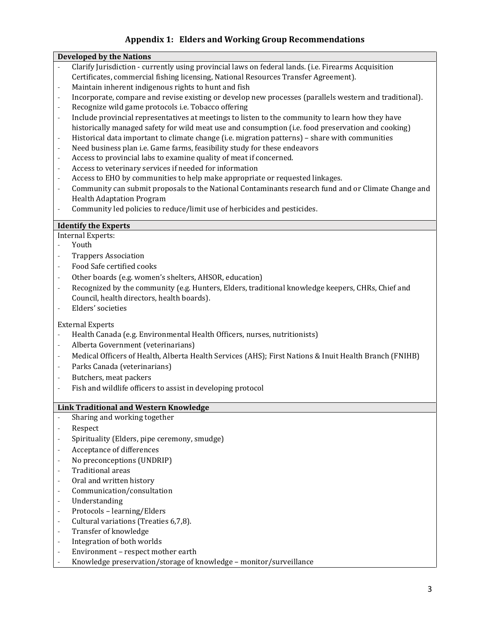## **Appendix 1: Elders and Working Group Recommendations**

#### **Developed by the Nations**

- Clarify Jurisdiction currently using provincial laws on federal lands. (i.e. Firearms Acquisition Certificates, commercial fishing licensing, National Resources Transfer Agreement).
- Maintain inherent indigenous rights to hunt and fish
- Incorporate, compare and revise existing or develop new processes (parallels western and traditional).
- Recognize wild game protocols i.e. Tobacco offering
- Include provincial representatives at meetings to listen to the community to learn how they have historically managed safety for wild meat use and consumption (i.e. food preservation and cooking)
- Historical data important to climate change (i.e. migration patterns) share with communities
- Need business plan i.e. Game farms, feasibility study for these endeavors
- Access to provincial labs to examine quality of meat if concerned.
- Access to veterinary services if needed for information
- Access to EHO by communities to help make appropriate or requested linkages.
- Community can submit proposals to the National Contaminants research fund and or Climate Change and Health Adaptation Program
- Community led policies to reduce/limit use of herbicides and pesticides.

#### **Identify the Experts**

- Internal Experts:
- Youth
- Trappers Association
- Food Safe certified cooks
- Other boards (e.g. women's shelters, AHSOR, education)
- Recognized by the community (e.g. Hunters, Elders, traditional knowledge keepers, CHRs, Chief and Council, health directors, health boards).
- Elders' societies

#### External Experts

- Health Canada (e.g. Environmental Health Officers, nurses, nutritionists)
- Alberta Government (veterinarians)
- Medical Officers of Health, Alberta Health Services (AHS); First Nations & Inuit Health Branch (FNIHB)
- Parks Canada (veterinarians)
- Butchers, meat packers
- Fish and wildlife officers to assist in developing protocol

#### **Link Traditional and Western Knowledge**

- Sharing and working together
- Respect
- Spirituality (Elders, pipe ceremony, smudge)
- Acceptance of differences
- No preconceptions (UNDRIP)
- Traditional areas
- Oral and written history
- Communication/consultation
- Understanding
- Protocols learning/Elders
- Cultural variations (Treaties 6,7,8).
- Transfer of knowledge
- Integration of both worlds
- Environment respect mother earth
- Knowledge preservation/storage of knowledge monitor/surveillance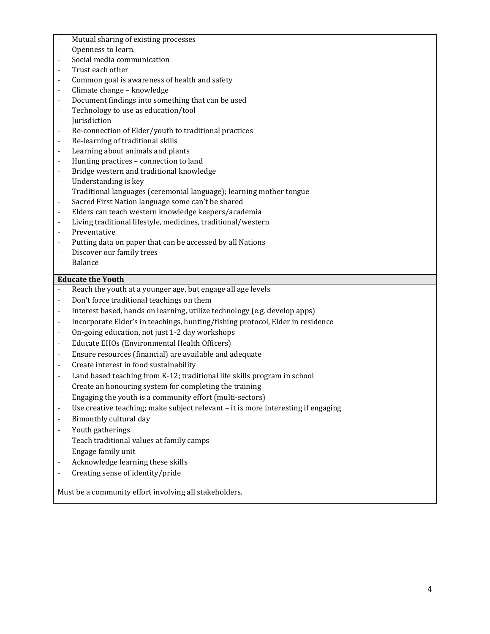- Mutual sharing of existing processes
- Openness to learn.
- Social media communication
- Trust each other
- Common goal is awareness of health and safety
- Climate change knowledge
- Document findings into something that can be used
- Technology to use as education/tool
- **Iurisdiction**
- Re-connection of Elder/youth to traditional practices
- Re-learning of traditional skills
- Learning about animals and plants
- Hunting practices connection to land
- Bridge western and traditional knowledge
- Understanding is key
- Traditional languages (ceremonial language); learning mother tongue
- Sacred First Nation language some can't be shared
- Elders can teach western knowledge keepers/academia
- Living traditional lifestyle, medicines, traditional/western
- Preventative
- Putting data on paper that can be accessed by all Nations
- Discover our family trees
- **Balance**

#### **Educate the Youth**

- Reach the youth at a younger age, but engage all age levels
- Don't force traditional teachings on them
- Interest based, hands on learning, utilize technology (e.g. develop apps)
- Incorporate Elder's in teachings, hunting/fishing protocol, Elder in residence
- On-going education, not just 1-2 day workshops
- Educate EHOs (Environmental Health Officers)
- Ensure resources (financial) are available and adequate
- Create interest in food sustainability
- Land based teaching from K-12; traditional life skills program in school
- Create an honouring system for completing the training
- Engaging the youth is a community effort (multi-sectors)
- Use creative teaching; make subject relevant it is more interesting if engaging
- Bimonthly cultural day
- Youth gatherings
- Teach traditional values at family camps
- Engage family unit
- Acknowledge learning these skills
- Creating sense of identity/pride

Must be a community effort involving all stakeholders.